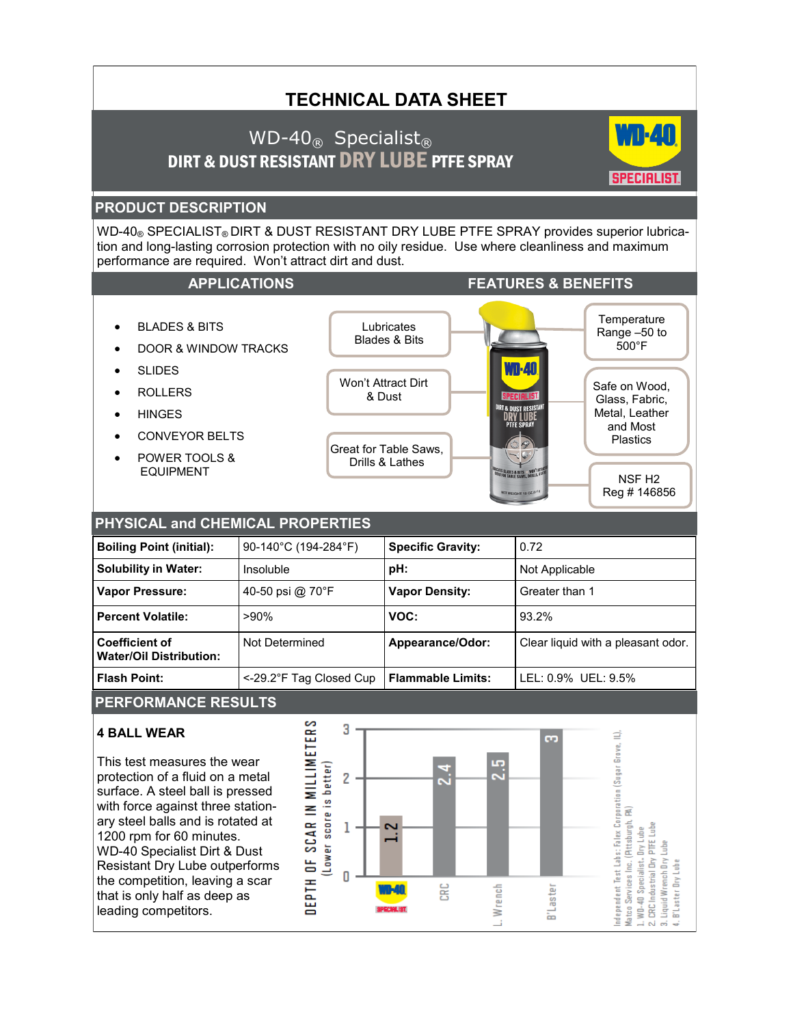# **TECHNICAL DATA SHEET**

# WD-40 $_{\text{\tiny{(R)}}}$  Specialist<sub>®</sub> DIRT & DUST RESISTANT DRY LUBE PTFE SPRAY



Safe on Wood, Glass, Fabric, Metal, Leather and Most Plastics

> NSF H2 Reg # 146856

**Temperature** Range –50 to 500°F

## **PRODUCT DESCRIPTION**

WD-40® SPECIALIST® DIRT & DUST RESISTANT DRY LUBE PTFE SPRAY provides superior lubrication and long-lasting corrosion protection with no oily residue. Use where cleanliness and maximum performance are required. Won't attract dirt and dust.

> **Lubricates** Blades & Bits

Won't Attract Dirt & Dust

Great for Table Saws, Drills & Lathes

#### **APPLICATIONS FEATURES & BENEFITS**

- BLADES & BITS
- DOOR & WINDOW TRACKS
- $\bullet$  SLIDES
- ROLLERS
- HINGES
- CONVEYOR BELTS
- POWER TOOLS & EQUIPMENT

### **PHYSICAL and CHEMICAL PROPERTIES**

| <b>Boiling Point (initial):</b>                         | 90-140°C (194-284°F)    | <b>Specific Gravity:</b> | 0.72                               |  |  |  |
|---------------------------------------------------------|-------------------------|--------------------------|------------------------------------|--|--|--|
| <b>Solubility in Water:</b>                             | Insoluble               | pH:                      | Not Applicable                     |  |  |  |
| <b>Vapor Pressure:</b>                                  | 40-50 psi @ 70°F        | <b>Vapor Density:</b>    | Greater than 1                     |  |  |  |
| <b>Percent Volatile:</b>                                | $>90\%$                 | VOC:                     | 93.2%                              |  |  |  |
| <b>Coefficient of</b><br><b>Water/Oil Distribution:</b> | Not Determined          | Appearance/Odor:         | Clear liquid with a pleasant odor. |  |  |  |
| <b>Flash Point:</b>                                     | <-29.2°F Tag Closed Cup | <b>Flammable Limits:</b> | LEL: 0.9% UEL: 9.5%                |  |  |  |

## **PERFORMANCE RESULTS**

#### **4 BALL WEAR**

This test measures the wear protection of a fluid on a metal surface. A steel ball is pressed with force against three stationary steel balls and is rotated at 1200 rpm for 60 minutes. WD-40 Specialist Dirt & Dust Resistant Dry Lube outperforms the competition, leaving a scar that is only half as deep as leading competitors.